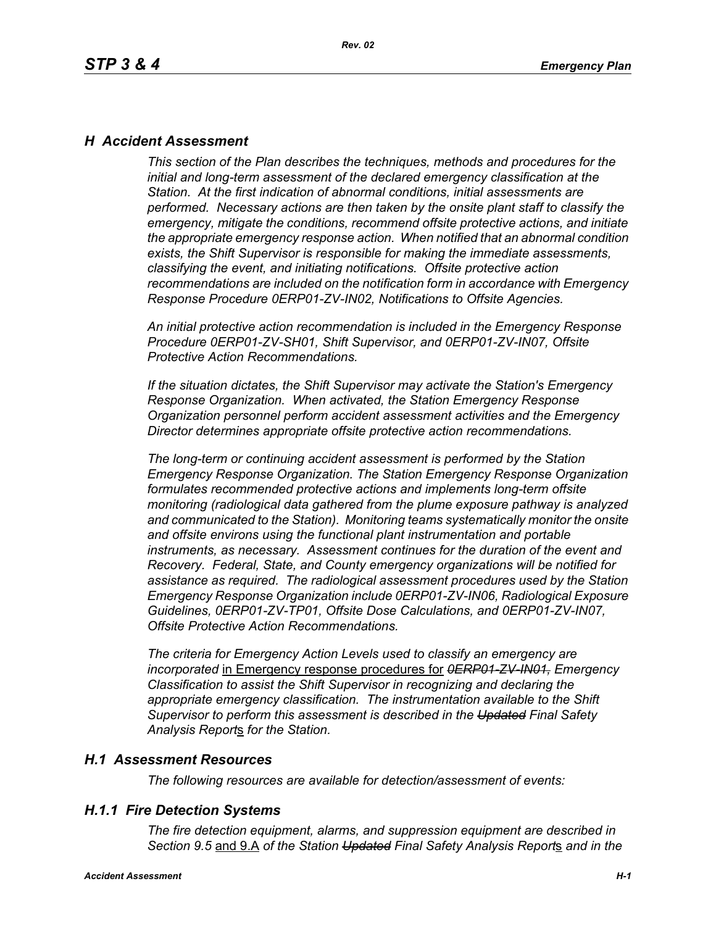## *H Accident Assessment*

*This section of the Plan describes the techniques, methods and procedures for the initial and long-term assessment of the declared emergency classification at the Station. At the first indication of abnormal conditions, initial assessments are performed. Necessary actions are then taken by the onsite plant staff to classify the emergency, mitigate the conditions, recommend offsite protective actions, and initiate the appropriate emergency response action. When notified that an abnormal condition exists, the Shift Supervisor is responsible for making the immediate assessments, classifying the event, and initiating notifications. Offsite protective action recommendations are included on the notification form in accordance with Emergency Response Procedure 0ERP01-ZV-IN02, Notifications to Offsite Agencies.*

*An initial protective action recommendation is included in the Emergency Response Procedure 0ERP01-ZV-SH01, Shift Supervisor, and 0ERP01-ZV-IN07, Offsite Protective Action Recommendations.*

*If the situation dictates, the Shift Supervisor may activate the Station's Emergency Response Organization. When activated, the Station Emergency Response Organization personnel perform accident assessment activities and the Emergency Director determines appropriate offsite protective action recommendations.*

*The long-term or continuing accident assessment is performed by the Station Emergency Response Organization. The Station Emergency Response Organization formulates recommended protective actions and implements long-term offsite monitoring (radiological data gathered from the plume exposure pathway is analyzed and communicated to the Station). Monitoring teams systematically monitor the onsite and offsite environs using the functional plant instrumentation and portable instruments, as necessary. Assessment continues for the duration of the event and Recovery. Federal, State, and County emergency organizations will be notified for assistance as required. The radiological assessment procedures used by the Station Emergency Response Organization include 0ERP01-ZV-IN06, Radiological Exposure Guidelines, 0ERP01-ZV-TP01, Offsite Dose Calculations, and 0ERP01-ZV-IN07, Offsite Protective Action Recommendations.*

*The criteria for Emergency Action Levels used to classify an emergency are incorporated* in Emergency response procedures for *0ERP01-ZV-IN01, Emergency Classification to assist the Shift Supervisor in recognizing and declaring the appropriate emergency classification. The instrumentation available to the Shift Supervisor to perform this assessment is described in the Updated Final Safety Analysis Report*s *for the Station.*

### *H.1 Assessment Resources*

*The following resources are available for detection/assessment of events:*

### *H.1.1 Fire Detection Systems*

*The fire detection equipment, alarms, and suppression equipment are described in Section 9.5* and 9.A *of the Station Updated Final Safety Analysis Report*s *and in the*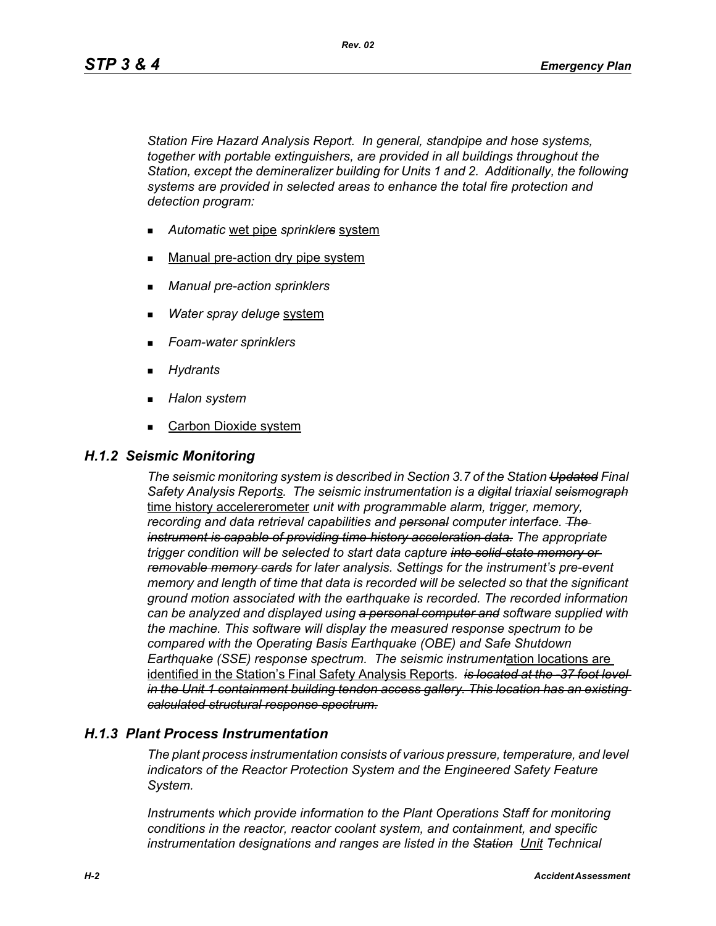*Rev. 02*

*Station Fire Hazard Analysis Report. In general, standpipe and hose systems, together with portable extinguishers, are provided in all buildings throughout the Station, except the demineralizer building for Units 1 and 2. Additionally, the following systems are provided in selected areas to enhance the total fire protection and detection program:*

- *Automatic* wet pipe *sprinklers* system
- Manual pre-action dry pipe system
- *Manual pre-action sprinklers*
- *Water spray deluge* system
- *Foam-water sprinklers*
- *Hydrants*
- *Halon system*
- Carbon Dioxide system

### *H.1.2 Seismic Monitoring*

*The seismic monitoring system is described in Section 3.7 of the Station Updated Final Safety Analysis Reports. The seismic instrumentation is a digital triaxial seismograph* time history accelererometer *unit with programmable alarm, trigger, memory, recording and data retrieval capabilities and personal computer interface. The instrument is capable of providing time history acceleration data. The appropriate trigger condition will be selected to start data capture into solid-state memory or removable memory cards for later analysis. Settings for the instrument's pre-event memory and length of time that data is recorded will be selected so that the significant ground motion associated with the earthquake is recorded. The recorded information can be analyzed and displayed using a personal computer and software supplied with the machine. This software will display the measured response spectrum to be compared with the Operating Basis Earthquake (OBE) and Safe Shutdown Earthquake (SSE) response spectrum. The seismic instrument*ation locations are identified in the Station's Final Safety Analysis Reports*. is located at the -37 foot level in the Unit 1 containment building tendon access gallery. This location has an existing calculated structural response spectrum.*

## *H.1.3 Plant Process Instrumentation*

*The plant process instrumentation consists of various pressure, temperature, and level indicators of the Reactor Protection System and the Engineered Safety Feature System.*

*Instruments which provide information to the Plant Operations Staff for monitoring conditions in the reactor, reactor coolant system, and containment, and specific instrumentation designations and ranges are listed in the Station Unit Technical*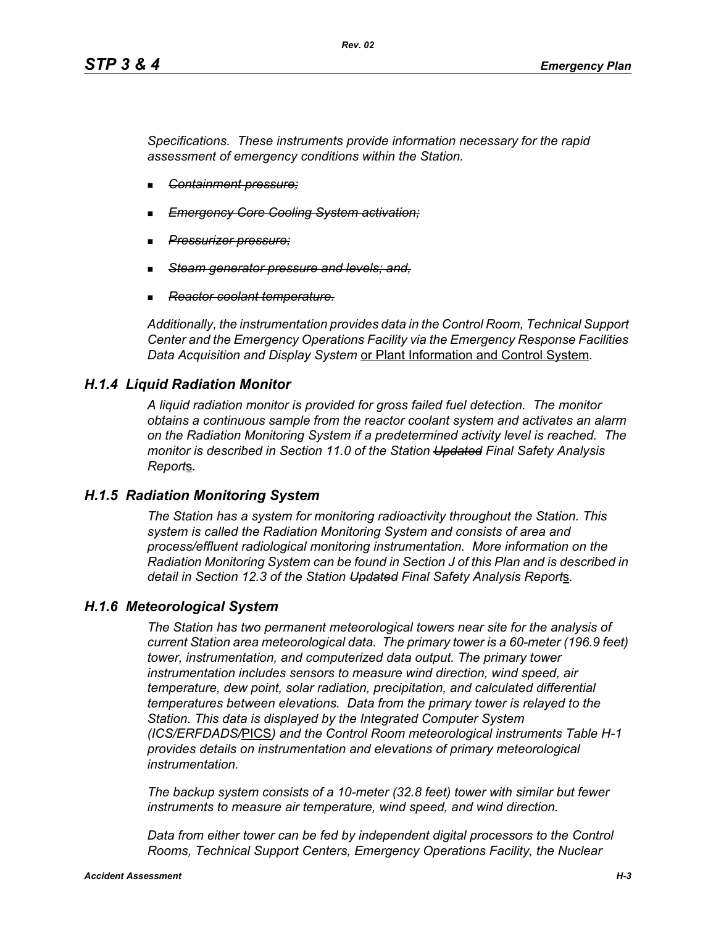*Specifications. These instruments provide information necessary for the rapid assessment of emergency conditions within the Station.*

- *Containment pressure;*
- *Emergency Core Cooling System activation;*
- *Pressurizer pressure;*
- *Steam generator pressure and levels; and,*
- *Reactor coolant temperature.*

*Additionally, the instrumentation provides data in the Control Room, Technical Support Center and the Emergency Operations Facility via the Emergency Response Facilities Data Acquisition and Display System* or Plant Information and Control System*.*

## *H.1.4 Liquid Radiation Monitor*

*A liquid radiation monitor is provided for gross failed fuel detection. The monitor obtains a continuous sample from the reactor coolant system and activates an alarm on the Radiation Monitoring System if a predetermined activity level is reached. The monitor is described in Section 11.0 of the Station Updated Final Safety Analysis Report*s*.*

## *H.1.5 Radiation Monitoring System*

*The Station has a system for monitoring radioactivity throughout the Station. This system is called the Radiation Monitoring System and consists of area and process/effluent radiological monitoring instrumentation. More information on the Radiation Monitoring System can be found in Section J of this Plan and is described in detail in Section 12.3 of the Station Updated Final Safety Analysis Report*s*.*

### *H.1.6 Meteorological System*

*The Station has two permanent meteorological towers near site for the analysis of current Station area meteorological data. The primary tower is a 60-meter (196.9 feet) tower, instrumentation, and computerized data output. The primary tower instrumentation includes sensors to measure wind direction, wind speed, air temperature, dew point, solar radiation, precipitation, and calculated differential temperatures between elevations. Data from the primary tower is relayed to the Station. This data is displayed by the Integrated Computer System (ICS/ERFDADS/*PICS*) and the Control Room meteorological instruments Table H-1 provides details on instrumentation and elevations of primary meteorological instrumentation.*

*The backup system consists of a 10-meter (32.8 feet) tower with similar but fewer instruments to measure air temperature, wind speed, and wind direction.*

Data from either tower can be fed by independent digital processors to the Control *Rooms, Technical Support Centers, Emergency Operations Facility, the Nuclear*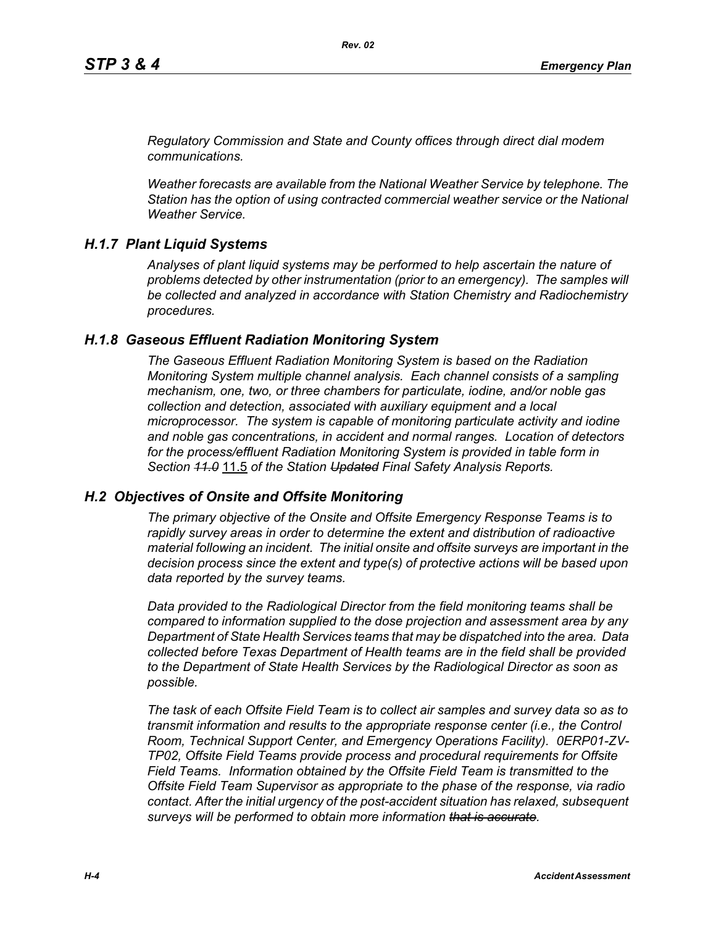*Regulatory Commission and State and County offices through direct dial modem communications.* 

*Weather forecasts are available from the National Weather Service by telephone. The Station has the option of using contracted commercial weather service or the National Weather Service.*

### *H.1.7 Plant Liquid Systems*

*Analyses of plant liquid systems may be performed to help ascertain the nature of problems detected by other instrumentation (prior to an emergency). The samples will be collected and analyzed in accordance with Station Chemistry and Radiochemistry procedures.*

### *H.1.8 Gaseous Effluent Radiation Monitoring System*

*The Gaseous Effluent Radiation Monitoring System is based on the Radiation Monitoring System multiple channel analysis. Each channel consists of a sampling mechanism, one, two, or three chambers for particulate, iodine, and/or noble gas collection and detection, associated with auxiliary equipment and a local microprocessor. The system is capable of monitoring particulate activity and iodine and noble gas concentrations, in accident and normal ranges. Location of detectors for the process/effluent Radiation Monitoring System is provided in table form in Section 11.0* 11.5 *of the Station Updated Final Safety Analysis Reports.* 

### *H.2 Objectives of Onsite and Offsite Monitoring*

*The primary objective of the Onsite and Offsite Emergency Response Teams is to rapidly survey areas in order to determine the extent and distribution of radioactive material following an incident. The initial onsite and offsite surveys are important in the decision process since the extent and type(s) of protective actions will be based upon data reported by the survey teams.*

*Data provided to the Radiological Director from the field monitoring teams shall be compared to information supplied to the dose projection and assessment area by any Department of State Health Services teams that may be dispatched into the area. Data collected before Texas Department of Health teams are in the field shall be provided to the Department of State Health Services by the Radiological Director as soon as possible.*

*The task of each Offsite Field Team is to collect air samples and survey data so as to transmit information and results to the appropriate response center (i.e., the Control Room, Technical Support Center, and Emergency Operations Facility). 0ERP01-ZV-TP02, Offsite Field Teams provide process and procedural requirements for Offsite Field Teams. Information obtained by the Offsite Field Team is transmitted to the Offsite Field Team Supervisor as appropriate to the phase of the response, via radio contact. After the initial urgency of the post-accident situation has relaxed, subsequent surveys will be performed to obtain more information that is accurate.*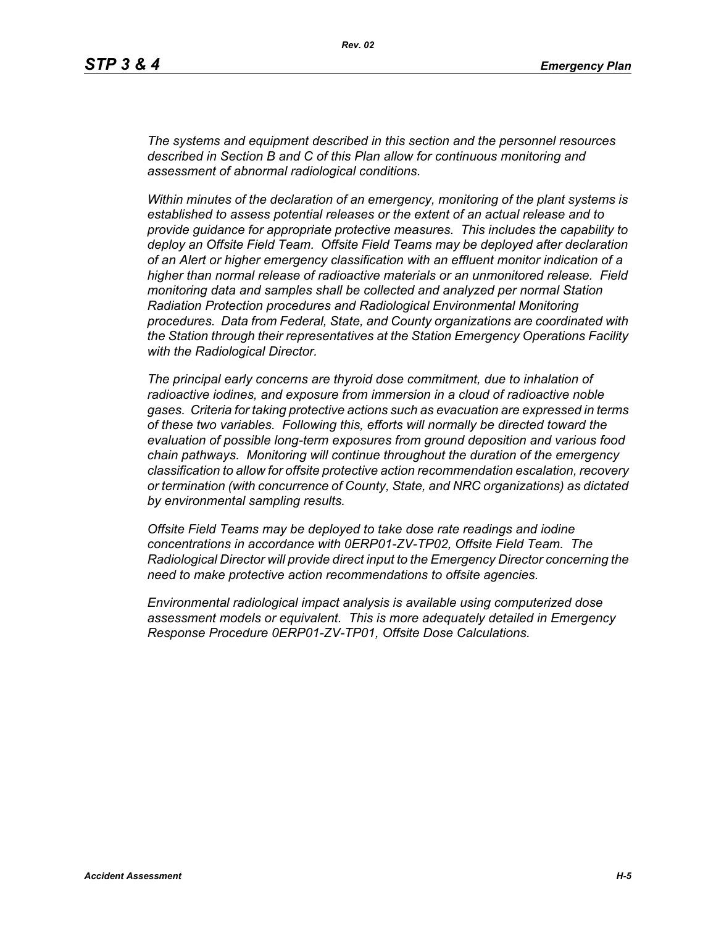*The systems and equipment described in this section and the personnel resources described in Section B and C of this Plan allow for continuous monitoring and assessment of abnormal radiological conditions.*

*Within minutes of the declaration of an emergency, monitoring of the plant systems is established to assess potential releases or the extent of an actual release and to provide guidance for appropriate protective measures. This includes the capability to deploy an Offsite Field Team. Offsite Field Teams may be deployed after declaration of an Alert or higher emergency classification with an effluent monitor indication of a higher than normal release of radioactive materials or an unmonitored release. Field monitoring data and samples shall be collected and analyzed per normal Station Radiation Protection procedures and Radiological Environmental Monitoring procedures. Data from Federal, State, and County organizations are coordinated with the Station through their representatives at the Station Emergency Operations Facility with the Radiological Director.*

*The principal early concerns are thyroid dose commitment, due to inhalation of radioactive iodines, and exposure from immersion in a cloud of radioactive noble gases. Criteria for taking protective actions such as evacuation are expressed in terms of these two variables. Following this, efforts will normally be directed toward the evaluation of possible long-term exposures from ground deposition and various food chain pathways. Monitoring will continue throughout the duration of the emergency classification to allow for offsite protective action recommendation escalation, recovery or termination (with concurrence of County, State, and NRC organizations) as dictated by environmental sampling results.*

*Offsite Field Teams may be deployed to take dose rate readings and iodine concentrations in accordance with 0ERP01-ZV-TP02, Offsite Field Team. The Radiological Director will provide direct input to the Emergency Director concerning the need to make protective action recommendations to offsite agencies.* 

*Environmental radiological impact analysis is available using computerized dose assessment models or equivalent. This is more adequately detailed in Emergency Response Procedure 0ERP01-ZV-TP01, Offsite Dose Calculations.*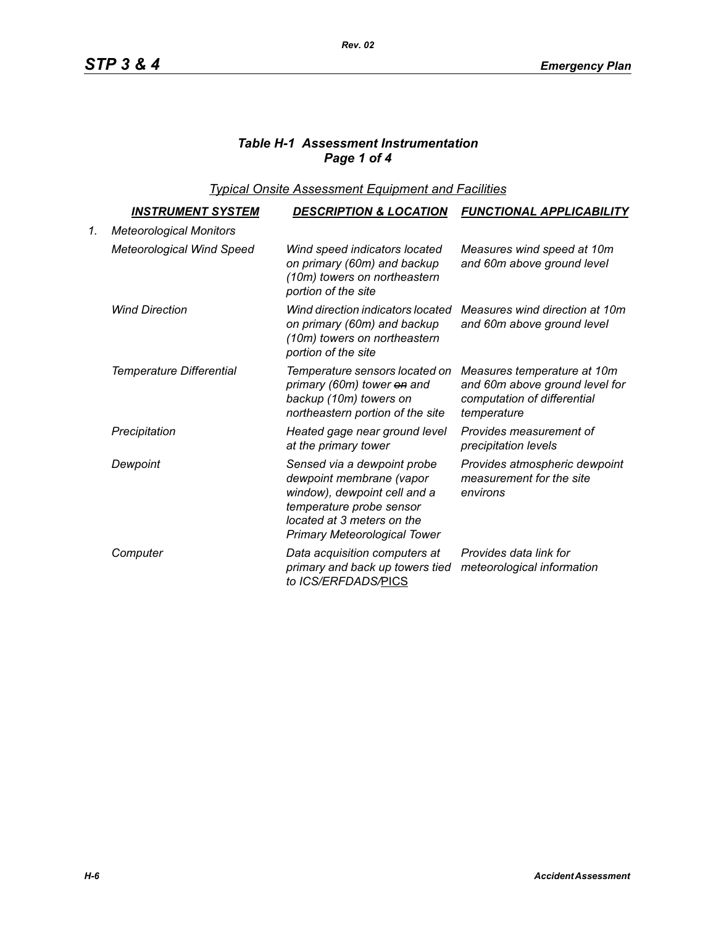# *Table H-1 Assessment Instrumentation Page 1 of 4*

*Typical Onsite Assessment Equipment and Facilities*

|    | <u>INSTRUMENT SYSTEM</u>         | <b>DESCRIPTION &amp; LOCATION</b>                                                                                                                                                        | <b>FUNCTIONAL APPLICABILITY</b>                                                                             |
|----|----------------------------------|------------------------------------------------------------------------------------------------------------------------------------------------------------------------------------------|-------------------------------------------------------------------------------------------------------------|
| 1. | <b>Meteorological Monitors</b>   |                                                                                                                                                                                          |                                                                                                             |
|    | <b>Meteorological Wind Speed</b> | Wind speed indicators located<br>on primary (60m) and backup<br>(10m) towers on northeastern<br>portion of the site                                                                      | Measures wind speed at 10m<br>and 60m above ground level                                                    |
|    | <b>Wind Direction</b>            | Wind direction indicators located<br>on primary (60m) and backup<br>(10m) towers on northeastern<br>portion of the site                                                                  | Measures wind direction at 10m<br>and 60m above ground level                                                |
|    | Temperature Differential         | Temperature sensors located on<br>primary (60m) tower on and<br>backup (10m) towers on<br>northeastern portion of the site                                                               | Measures temperature at 10m<br>and 60m above ground level for<br>computation of differential<br>temperature |
|    | Precipitation                    | Heated gage near ground level<br>at the primary tower                                                                                                                                    | Provides measurement of<br>precipitation levels                                                             |
|    | Dewpoint                         | Sensed via a dewpoint probe<br>dewpoint membrane (vapor<br>window), dewpoint cell and a<br>temperature probe sensor<br>located at 3 meters on the<br><b>Primary Meteorological Tower</b> | Provides atmospheric dewpoint<br>measurement for the site<br>environs                                       |
|    | Computer                         | Data acquisition computers at<br>primary and back up towers tied<br>to ICS/ERFDADS/PICS                                                                                                  | Provides data link for<br>meteorological information                                                        |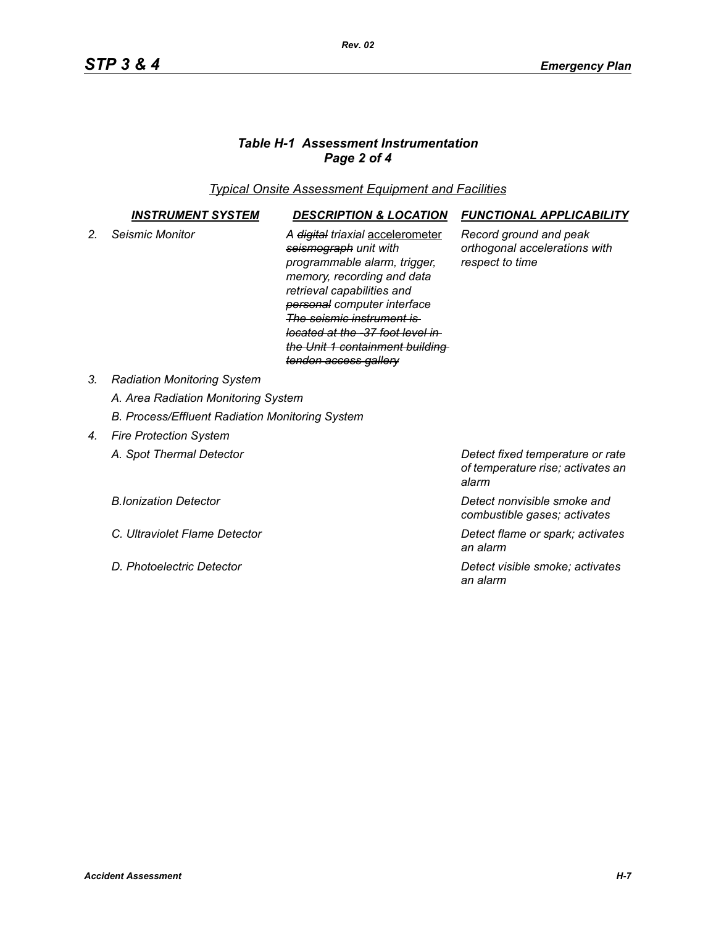# *Table H-1 Assessment Instrumentation Page 2 of 4*

*Typical Onsite Assessment Equipment and Facilities*

|                | <b>INSTRUMENT SYSTEM</b>                        | <b>DESCRIPTION &amp; LOCATION</b>                                                                                                                                                                                                                                                                                                                 | <b>FUNCTIONAL APPLICABILITY</b>                                                |
|----------------|-------------------------------------------------|---------------------------------------------------------------------------------------------------------------------------------------------------------------------------------------------------------------------------------------------------------------------------------------------------------------------------------------------------|--------------------------------------------------------------------------------|
| 2 <sub>1</sub> | Seismic Monitor                                 | A <del>digital</del> triaxial accelerometer<br>seismograph unit with<br>programmable alarm, trigger,<br>memory, recording and data<br>retrieval capabilities and<br>personal computer interface<br><u>The seismic instrument is </u><br><del>located at the -37 foot level in I</del><br>the Unit 1 containment building<br>tendon access gallery | Record ground and peak<br>orthogonal accelerations with<br>respect to time     |
| 3.             | <b>Radiation Monitoring System</b>              |                                                                                                                                                                                                                                                                                                                                                   |                                                                                |
|                | A. Area Radiation Monitoring System             |                                                                                                                                                                                                                                                                                                                                                   |                                                                                |
|                | B. Process/Effluent Radiation Monitoring System |                                                                                                                                                                                                                                                                                                                                                   |                                                                                |
| 4.             | <b>Fire Protection System</b>                   |                                                                                                                                                                                                                                                                                                                                                   |                                                                                |
|                | A. Spot Thermal Detector                        |                                                                                                                                                                                                                                                                                                                                                   | Detect fixed temperature or rate<br>of temperature rise; activates an<br>alarm |
|                | <b>B.Ionization Detector</b>                    |                                                                                                                                                                                                                                                                                                                                                   | Detect nonvisible smoke and                                                    |

- 
- 

*combustible gases; activates*

*C. Ultraviolet Flame Detector Detect flame or spark; activates an alarm*

*D. Photoelectric Detector Detect visible smoke; activates an alarm*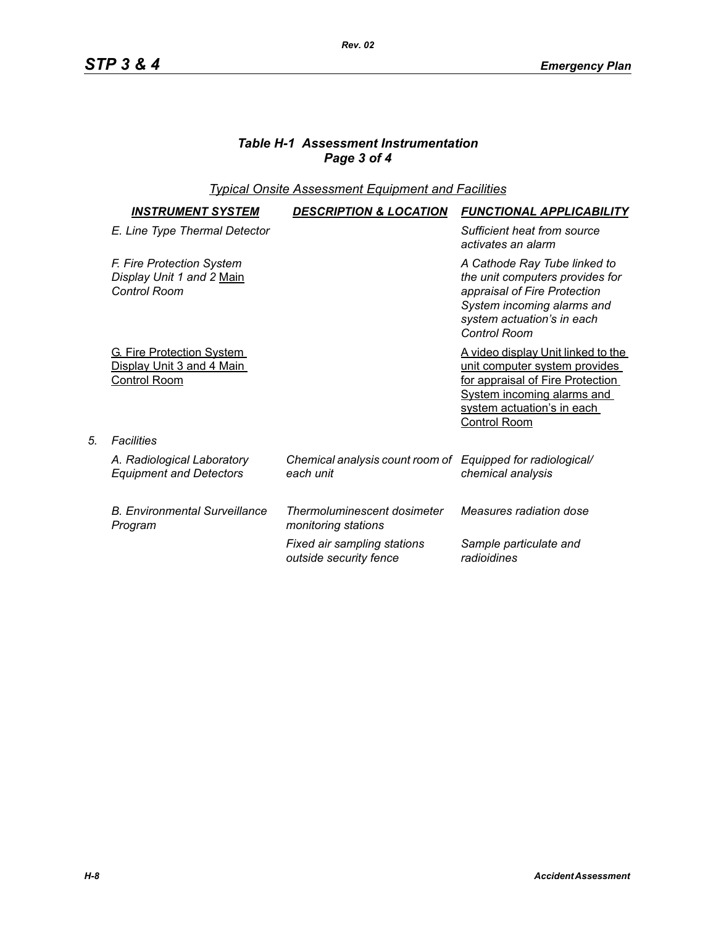# *Table H-1 Assessment Instrumentation Page 3 of 4*

# *Typical Onsite Assessment Equipment and Facilities*

| <b>INSTRUMENT SYSTEM</b>                                                             | <b>DESCRIPTION &amp; LOCATION</b>                                       | <b>FUNCTIONAL APPLICABILITY</b>                                                                                                                                                                    |
|--------------------------------------------------------------------------------------|-------------------------------------------------------------------------|----------------------------------------------------------------------------------------------------------------------------------------------------------------------------------------------------|
| E. Line Type Thermal Detector                                                        |                                                                         | Sufficient heat from source<br>activates an alarm                                                                                                                                                  |
| F. Fire Protection System<br>Display Unit 1 and 2 Main<br><b>Control Room</b>        |                                                                         | A Cathode Ray Tube linked to<br>the unit computers provides for<br>appraisal of Fire Protection<br>System incoming alarms and<br>system actuation's in each<br><b>Control Room</b>                 |
| <b>G. Fire Protection System</b><br>Display Unit 3 and 4 Main<br><b>Control Room</b> |                                                                         | <u>A video display Unit linked to the </u><br>unit computer system provides<br>for appraisal of Fire Protection<br><b>System incoming alarms and</b><br>system actuation's in each<br>Control Room |
| <b>Facilities</b>                                                                    |                                                                         |                                                                                                                                                                                                    |
| A. Radiological Laboratory<br><b>Equipment and Detectors</b>                         | Chemical analysis count room of Equipped for radiological/<br>each unit | chemical analysis                                                                                                                                                                                  |
| <b>B. Environmental Surveillance</b><br>Program                                      | Thermoluminescent dosimeter<br>monitoring stations                      | Measures radiation dose                                                                                                                                                                            |
|                                                                                      | Fixed air sampling stations<br>outside security fence                   | Sample particulate and<br>radioidines                                                                                                                                                              |

*5. Facilities*